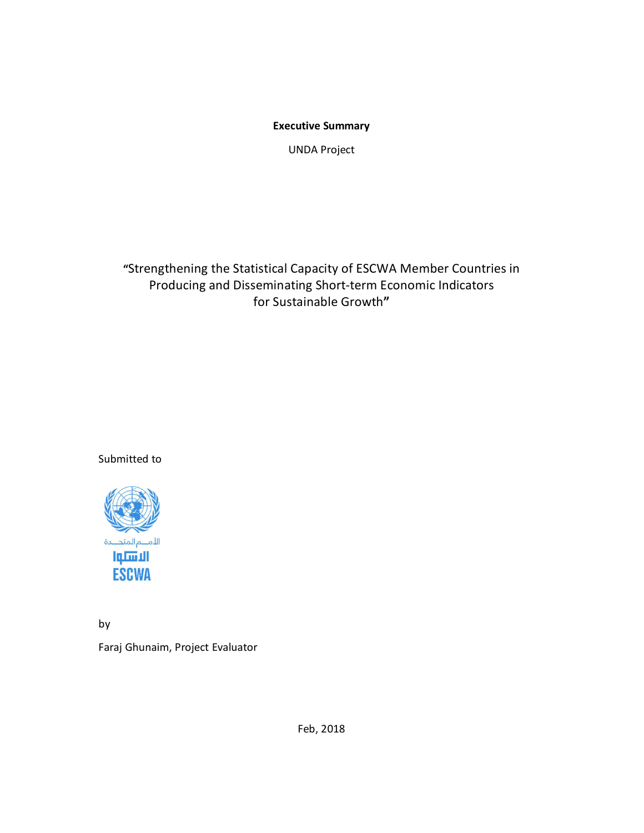**Executive Summary** 

UNDA Project

**"**Strengthening the Statistical Capacity of ESCWA Member Countries in Producing and Disseminating Short-term Economic Indicators for Sustainable Growth**"**

Submitted to



by Faraj Ghunaim, Project Evaluator

Feb, 2018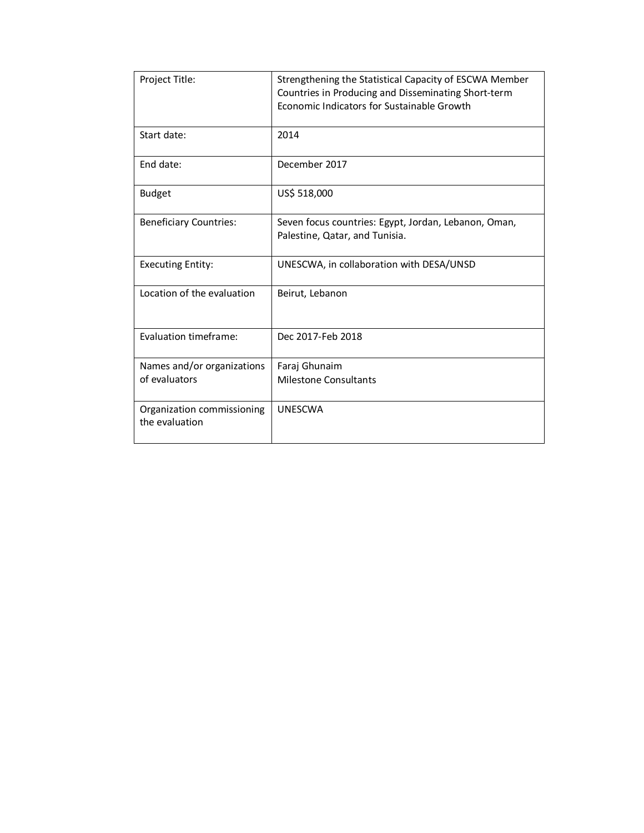| Project Title:                               | Strengthening the Statistical Capacity of ESCWA Member<br>Countries in Producing and Disseminating Short-term<br>Economic Indicators for Sustainable Growth |
|----------------------------------------------|-------------------------------------------------------------------------------------------------------------------------------------------------------------|
| Start date:                                  | 2014                                                                                                                                                        |
| End date:                                    | December 2017                                                                                                                                               |
| <b>Budget</b>                                | US\$ 518,000                                                                                                                                                |
| <b>Beneficiary Countries:</b>                | Seven focus countries: Egypt, Jordan, Lebanon, Oman,<br>Palestine, Qatar, and Tunisia.                                                                      |
| <b>Executing Entity:</b>                     | UNESCWA, in collaboration with DESA/UNSD                                                                                                                    |
| Location of the evaluation                   | Beirut, Lebanon                                                                                                                                             |
| Evaluation timeframe:                        | Dec 2017-Feb 2018                                                                                                                                           |
| Names and/or organizations<br>of evaluators  | Faraj Ghunaim<br><b>Milestone Consultants</b>                                                                                                               |
| Organization commissioning<br>the evaluation | <b>UNESCWA</b>                                                                                                                                              |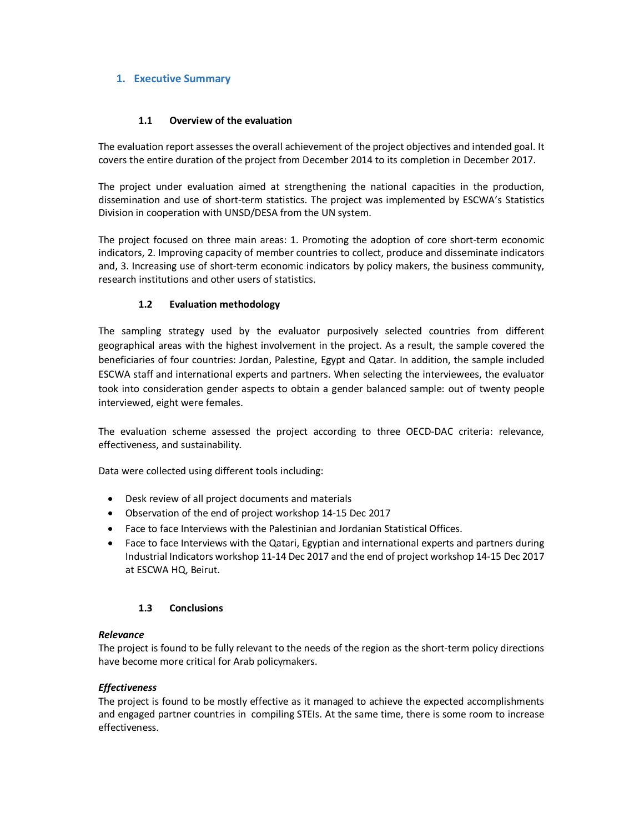# **1. Executive Summary**

#### **1.1 Overview of the evaluation**

The evaluation report assesses the overall achievement of the project objectives and intended goal. It covers the entire duration of the project from December 2014 to its completion in December 2017.

The project under evaluation aimed at strengthening the national capacities in the production, dissemination and use of short-term statistics. The project was implemented by ESCWA's Statistics Division in cooperation with UNSD/DESA from the UN system.

The project focused on three main areas: 1. Promoting the adoption of core short-term economic indicators, 2. Improving capacity of member countries to collect, produce and disseminate indicators and, 3. Increasing use of short-term economic indicators by policy makers, the business community, research institutions and other users of statistics.

## **1.2 Evaluation methodology**

The sampling strategy used by the evaluator purposively selected countries from different geographical areas with the highest involvement in the project. As a result, the sample covered the beneficiaries of four countries: Jordan, Palestine, Egypt and Qatar. In addition, the sample included ESCWA staff and international experts and partners. When selecting the interviewees, the evaluator took into consideration gender aspects to obtain a gender balanced sample: out of twenty people interviewed, eight were females.

The evaluation scheme assessed the project according to three OECD-DAC criteria: relevance, effectiveness, and sustainability.

Data were collected using different tools including:

- Desk review of all project documents and materials
- Observation of the end of project workshop 14-15 Dec 2017
- Face to face Interviews with the Palestinian and Jordanian Statistical Offices.
- Face to face Interviews with the Qatari, Egyptian and international experts and partners during Industrial Indicators workshop 11-14 Dec 2017 and the end of project workshop 14-15 Dec 2017 at ESCWA HQ, Beirut.

#### **1.3 Conclusions**

#### *Relevance*

The project is found to be fully relevant to the needs of the region as the short-term policy directions have become more critical for Arab policymakers.

#### *Effectiveness*

The project is found to be mostly effective as it managed to achieve the expected accomplishments and engaged partner countries in compiling STEIs. At the same time, there is some room to increase effectiveness.